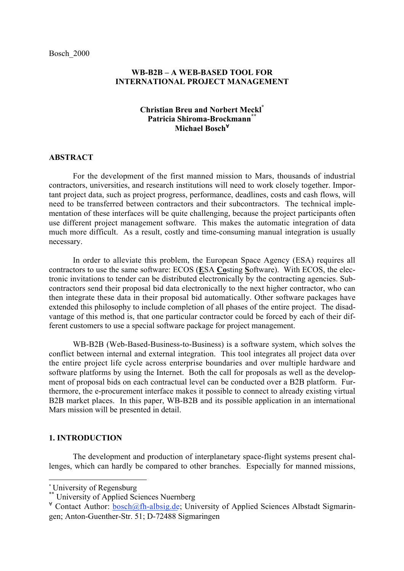# **WB-B2B – A WEB-BASED TOOL FOR INTERNATIONAL PROJECT MANAGEMENT**

# **Christian Breu and Norbert Meckl\* Patricia Shiroma-Brockmann\*\* Michael Bosch**<sup>∀</sup>

#### **ABSTRACT**

For the development of the first manned mission to Mars, thousands of industrial contractors, universities, and research institutions will need to work closely together. Important project data, such as project progress, performance, deadlines, costs and cash flows, will need to be transferred between contractors and their subcontractors. The technical implementation of these interfaces will be quite challenging, because the project participants often use different project management software. This makes the automatic integration of data much more difficult. As a result, costly and time-consuming manual integration is usually necessary.

In order to alleviate this problem, the European Space Agency (ESA) requires all contractors to use the same software: ECOS (**E**SA **Co**sting **S**oftware). With ECOS, the electronic invitations to tender can be distributed electronically by the contracting agencies. Subcontractors send their proposal bid data electronically to the next higher contractor, who can then integrate these data in their proposal bid automatically. Other software packages have extended this philosophy to include completion of all phases of the entire project. The disadvantage of this method is, that one particular contractor could be forced by each of their different customers to use a special software package for project management.

WB-B2B (Web-Based-Business-to-Business) is a software system, which solves the conflict between internal and external integration. This tool integrates all project data over the entire project life cycle across enterprise boundaries and over multiple hardware and software platforms by using the Internet. Both the call for proposals as well as the development of proposal bids on each contractual level can be conducted over a B2B platform. Furthermore, the e-procurement interface makes it possible to connect to already existing virtual B2B market places. In this paper, WB-B2B and its possible application in an international Mars mission will be presented in detail.

#### **1. INTRODUCTION**

The development and production of interplanetary space-flight systems present challenges, which can hardly be compared to other branches. Especially for manned missions,

<sup>\*</sup> University of Regensburg

<sup>\*\*</sup> University of Applied Sciences Nuernberg

 $\forall$  Contact Author: bosch@fh-albsig.de; University of Applied Sciences Albstadt Sigmaringen; Anton-Guenther-Str. 51; D-72488 Sigmaringen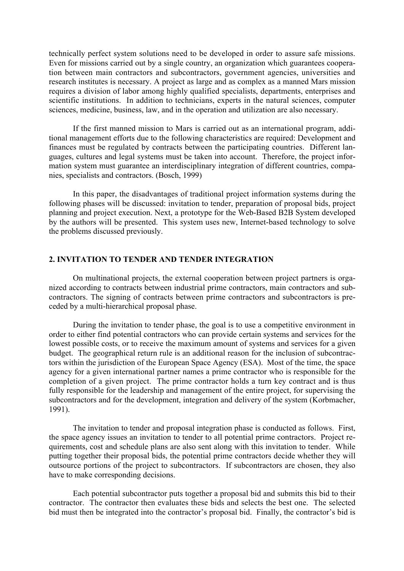technically perfect system solutions need to be developed in order to assure safe missions. Even for missions carried out by a single country, an organization which guarantees cooperation between main contractors and subcontractors, government agencies, universities and research institutes is necessary. A project as large and as complex as a manned Mars mission requires a division of labor among highly qualified specialists, departments, enterprises and scientific institutions. In addition to technicians, experts in the natural sciences, computer sciences, medicine, business, law, and in the operation and utilization are also necessary.

If the first manned mission to Mars is carried out as an international program, additional management efforts due to the following characteristics are required: Development and finances must be regulated by contracts between the participating countries. Different languages, cultures and legal systems must be taken into account. Therefore, the project information system must guarantee an interdisciplinary integration of different countries, companies, specialists and contractors. (Bosch, 1999)

In this paper, the disadvantages of traditional project information systems during the following phases will be discussed: invitation to tender, preparation of proposal bids, project planning and project execution. Next, a prototype for the Web-Based B2B System developed by the authors will be presented. This system uses new, Internet-based technology to solve the problems discussed previously.

# **2. INVITATION TO TENDER AND TENDER INTEGRATION**

On multinational projects, the external cooperation between project partners is organized according to contracts between industrial prime contractors, main contractors and subcontractors. The signing of contracts between prime contractors and subcontractors is preceded by a multi-hierarchical proposal phase.

During the invitation to tender phase, the goal is to use a competitive environment in order to either find potential contractors who can provide certain systems and services for the lowest possible costs, or to receive the maximum amount of systems and services for a given budget. The geographical return rule is an additional reason for the inclusion of subcontractors within the jurisdiction of the European Space Agency (ESA). Most of the time, the space agency for a given international partner names a prime contractor who is responsible for the completion of a given project. The prime contractor holds a turn key contract and is thus fully responsible for the leadership and management of the entire project, for supervising the subcontractors and for the development, integration and delivery of the system (Korbmacher, 1991).

The invitation to tender and proposal integration phase is conducted as follows. First, the space agency issues an invitation to tender to all potential prime contractors. Project requirements, cost and schedule plans are also sent along with this invitation to tender. While putting together their proposal bids, the potential prime contractors decide whether they will outsource portions of the project to subcontractors. If subcontractors are chosen, they also have to make corresponding decisions.

Each potential subcontractor puts together a proposal bid and submits this bid to their contractor. The contractor then evaluates these bids and selects the best one. The selected bid must then be integrated into the contractor's proposal bid. Finally, the contractor's bid is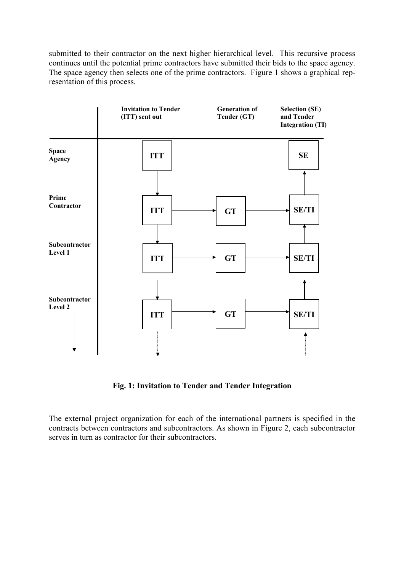submitted to their contractor on the next higher hierarchical level. This recursive process continues until the potential prime contractors have submitted their bids to the space agency. The space agency then selects one of the prime contractors. Figure 1 shows a graphical representation of this process.



**Fig. 1: Invitation to Tender and Tender Integration**

The external project organization for each of the international partners is specified in the contracts between contractors and subcontractors. As shown in Figure 2, each subcontractor serves in turn as contractor for their subcontractors.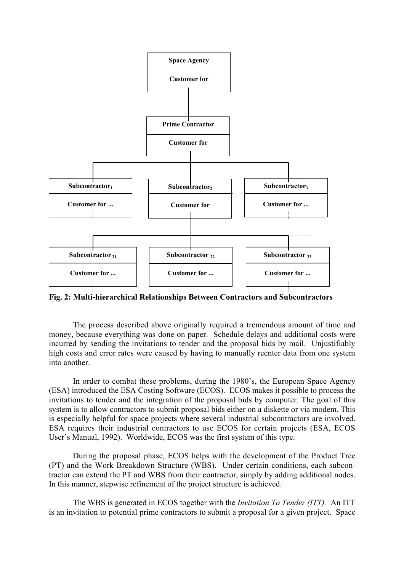

**Fig. 2: Multi-hierarchical Relationships Between Contractors and Subcontractors**

The process described above originally required a tremendous amount of time and money, because everything was done on paper. Schedule delays and additional costs were incurred by sending the invitations to tender and the proposal bids by mail. Unjustifiably high costs and error rates were caused by having to manually reenter data from one system into another.

In order to combat these problems, during the 1980's, the European Space Agency (ESA) introduced the ESA Costing Software (ECOS). ECOS makes it possible to process the invitations to tender and the integration of the proposal bids by computer. The goal of this system is to allow contractors to submit proposal bids either on a diskette or via modem. This is especially helpful for space projects where several industrial subcontractors are involved. ESA requires their industrial contractors to use ECOS for certain projects (ESA, ECOS User's Manual, 1992). Worldwide, ECOS was the first system of this type.

During the proposal phase, ECOS helps with the development of the Product Tree (PT) and the Work Breakdown Structure (WBS). Under certain conditions, each subcontractor can extend the PT and WBS from their contractor, simply by adding additional nodes. In this manner, stepwise refinement of the project structure is achieved.

The WBS is generated in ECOS together with the *Invitation To Tender (ITT).* An ITT is an invitation to potential prime contractors to submit a proposal for a given project. Space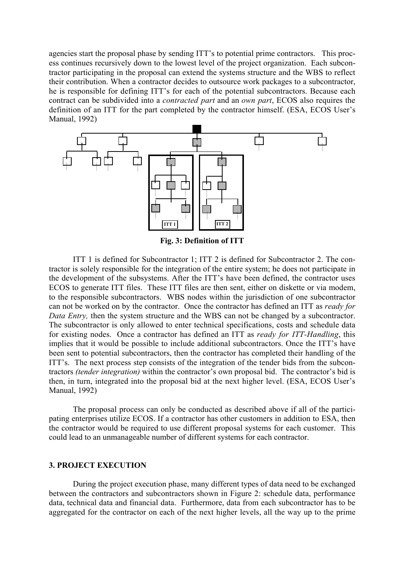agencies start the proposal phase by sending ITT's to potential prime contractors. This process continues recursively down to the lowest level of the project organization. Each subcontractor participating in the proposal can extend the systems structure and the WBS to reflect their contribution. When a contractor decides to outsource work packages to a subcontractor, he is responsible for defining ITT's for each of the potential subcontractors. Because each contract can be subdivided into a *contracted part* and an *own part*, ECOS also requires the definition of an ITT for the part completed by the contractor himself. (ESA, ECOS User's Manual, 1992)



**Fig. 3: Definition of ITT**

ITT 1 is defined for Subcontractor 1; ITT 2 is defined for Subcontractor 2. The contractor is solely responsible for the integration of the entire system; he does not participate in the development of the subsystems. After the ITT's have been defined, the contractor uses ECOS to generate ITT files. These ITT files are then sent, either on diskette or via modem, to the responsible subcontractors. WBS nodes within the jurisdiction of one subcontractor can not be worked on by the contractor. Once the contractor has defined an ITT as *ready for Data Entry*, then the system structure and the WBS can not be changed by a subcontractor. The subcontractor is only allowed to enter technical specifications, costs and schedule data for existing nodes. Once a contractor has defined an ITT as *ready for ITT-Handling*, this implies that it would be possible to include additional subcontractors. Once the ITT's have been sent to potential subcontractors, then the contractor has completed their handling of the ITT's. The next process step consists of the integration of the tender bids from the subcontractors *(tender integration)* within the contractor's own proposal bid. The contractor's bid is then, in turn, integrated into the proposal bid at the next higher level. (ESA, ECOS User's Manual, 1992)

The proposal process can only be conducted as described above if all of the participating enterprises utilize ECOS. If a contractor has other customers in addition to ESA, then the contractor would be required to use different proposal systems for each customer. This could lead to an unmanageable number of different systems for each contractor.

### **3. PROJECT EXECUTION**

During the project execution phase, many different types of data need to be exchanged between the contractors and subcontractors shown in Figure 2: schedule data, performance data, technical data and financial data. Furthermore, data from each subcontractor has to be aggregated for the contractor on each of the next higher levels, all the way up to the prime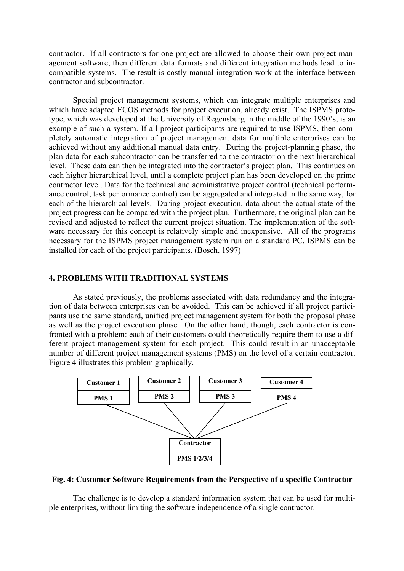contractor. If all contractors for one project are allowed to choose their own project management software, then different data formats and different integration methods lead to incompatible systems. The result is costly manual integration work at the interface between contractor and subcontractor.

Special project management systems, which can integrate multiple enterprises and which have adapted ECOS methods for project execution, already exist. The ISPMS prototype, which was developed at the University of Regensburg in the middle of the 1990's, is an example of such a system. If all project participants are required to use ISPMS, then completely automatic integration of project management data for multiple enterprises can be achieved without any additional manual data entry. During the project-planning phase, the plan data for each subcontractor can be transferred to the contractor on the next hierarchical level. These data can then be integrated into the contractor's project plan. This continues on each higher hierarchical level, until a complete project plan has been developed on the prime contractor level. Data for the technical and administrative project control (technical performance control, task performance control) can be aggregated and integrated in the same way, for each of the hierarchical levels. During project execution, data about the actual state of the project progress can be compared with the project plan. Furthermore, the original plan can be revised and adjusted to reflect the current project situation. The implementation of the software necessary for this concept is relatively simple and inexpensive. All of the programs necessary for the ISPMS project management system run on a standard PC. ISPMS can be installed for each of the project participants. (Bosch, 1997)

## **4. PROBLEMS WITH TRADITIONAL SYSTEMS**

As stated previously, the problems associated with data redundancy and the integration of data between enterprises can be avoided. This can be achieved if all project participants use the same standard, unified project management system for both the proposal phase as well as the project execution phase. On the other hand, though, each contractor is confronted with a problem: each of their customers could theoretically require them to use a different project management system for each project. This could result in an unacceptable number of different project management systems (PMS) on the level of a certain contractor. Figure 4 illustrates this problem graphically.



#### **Fig. 4: Customer Software Requirements from the Perspective of a specific Contractor**

The challenge is to develop a standard information system that can be used for multiple enterprises, without limiting the software independence of a single contractor.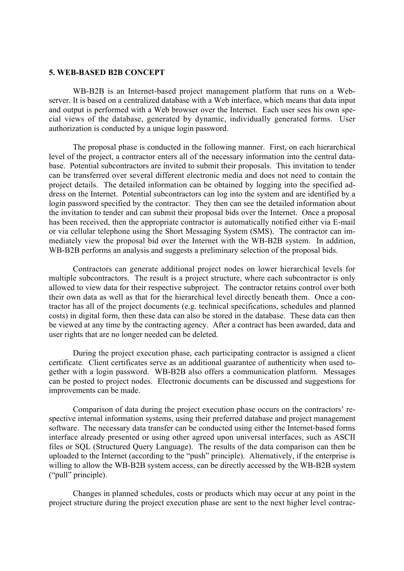#### **5. WEB-BASED B2B CONCEPT**

WB-B2B is an Internet-based project management platform that runs on a Webserver. It is based on a centralized database with a Web interface, which means that data input and output is performed with a Web browser over the Internet. Each user sees his own special views of the database, generated by dynamic, individually generated forms. User authorization is conducted by a unique login password.

The proposal phase is conducted in the following manner. First, on each hierarchical level of the project, a contractor enters all of the necessary information into the central database. Potential subcontractors are invited to submit their proposals. This invitation to tender can be transferred over several different electronic media and does not need to contain the project details. The detailed information can be obtained by logging into the specified address on the Internet. Potential subcontractors can log into the system and are identified by a login password specified by the contractor. They then can see the detailed information about the invitation to tender and can submit their proposal bids over the Internet. Once a proposal has been received, then the appropriate contractor is automatically notified either via E-mail or via cellular telephone using the Short Messaging System (SMS). The contractor can immediately view the proposal bid over the Internet with the WB-B2B system. In addition, WB-B2B performs an analysis and suggests a preliminary selection of the proposal bids.

Contractors can generate additional project nodes on lower hierarchical levels for multiple subcontractors. The result is a project structure, where each subcontractor is only allowed to view data for their respective subproject. The contractor retains control over both their own data as well as that for the hierarchical level directly beneath them. Once a contractor has all of the project documents (e.g. technical specifications, schedules and planned costs) in digital form, then these data can also be stored in the database. These data can then be viewed at any time by the contracting agency. After a contract has been awarded, data and user rights that are no longer needed can be deleted.

During the project execution phase, each participating contractor is assigned a client certificate. Client certificates serve as an additional guarantee of authenticity when used together with a login password. WB-B2B also offers a communication platform. Messages can be posted to project nodes. Electronic documents can be discussed and suggestions for improvements can be made.

Comparison of data during the project execution phase occurs on the contractors' respective internal information systems, using their preferred database and project management software. The necessary data transfer can be conducted using either the Internet-based forms interface already presented or using other agreed upon universal interfaces, such as ASCII files or SQL (Structured Query Language). The results of the data comparison can then be uploaded to the Internet (according to the "push" principle). Alternatively, if the enterprise is willing to allow the WB-B2B system access, can be directly accessed by the WB-B2B system ("pull" principle).

Changes in planned schedules, costs or products which may occur at any point in the project structure during the project execution phase are sent to the next higher level contrac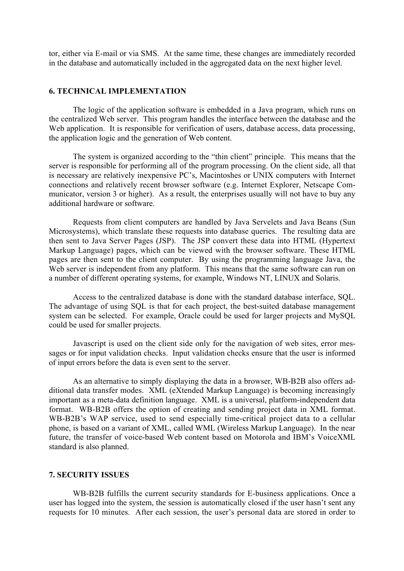tor, either via E-mail or via SMS. At the same time, these changes are immediately recorded in the database and automatically included in the aggregated data on the next higher level.

# **6. TECHNICAL IMPLEMENTATION**

The logic of the application software is embedded in a Java program, which runs on the centralized Web server. This program handles the interface between the database and the Web application. It is responsible for verification of users, database access, data processing, the application logic and the generation of Web content.

The system is organized according to the "thin client" principle. This means that the server is responsible for performing all of the program processing. On the client side, all that is necessary are relatively inexpensive PC's, Macintoshes or UNIX computers with Internet connections and relatively recent browser software (e.g. Internet Explorer, Netscape Communicator, version 3 or higher). As a result, the enterprises usually will not have to buy any additional hardware or software.

Requests from client computers are handled by Java Servelets and Java Beans (Sun Microsystems), which translate these requests into database queries. The resulting data are then sent to Java Server Pages (JSP). The JSP convert these data into HTML (Hypertext Markup Language) pages, which can be viewed with the browser software. These HTML pages are then sent to the client computer. By using the programming language Java, the Web server is independent from any platform. This means that the same software can run on a number of different operating systems, for example, Windows NT, LINUX and Solaris.

Access to the centralized database is done with the standard database interface, SQL. The advantage of using SQL is that for each project, the best-suited database management system can be selected. For example, Oracle could be used for larger projects and MySQL could be used for smaller projects.

Javascript is used on the client side only for the navigation of web sites, error messages or for input validation checks. Input validation checks ensure that the user is informed of input errors before the data is even sent to the server.

As an alternative to simply displaying the data in a browser, WB-B2B also offers additional data transfer modes. XML (eXtended Markup Language) is becoming increasingly important as a meta-data definition language. XML is a universal, platform-independent data format. WB-B2B offers the option of creating and sending project data in XML format. WB-B2B's WAP service, used to send especially time-critical project data to a cellular phone, is based on a variant of XML, called WML (Wireless Markup Language). In the near future, the transfer of voice-based Web content based on Motorola and IBM's VoiceXML standard is also planned.

## **7. SECURITY ISSUES**

WB-B2B fulfills the current security standards for E-business applications. Once a user has logged into the system, the session is automatically closed if the user hasn't sent any requests for 10 minutes. After each session, the user's personal data are stored in order to